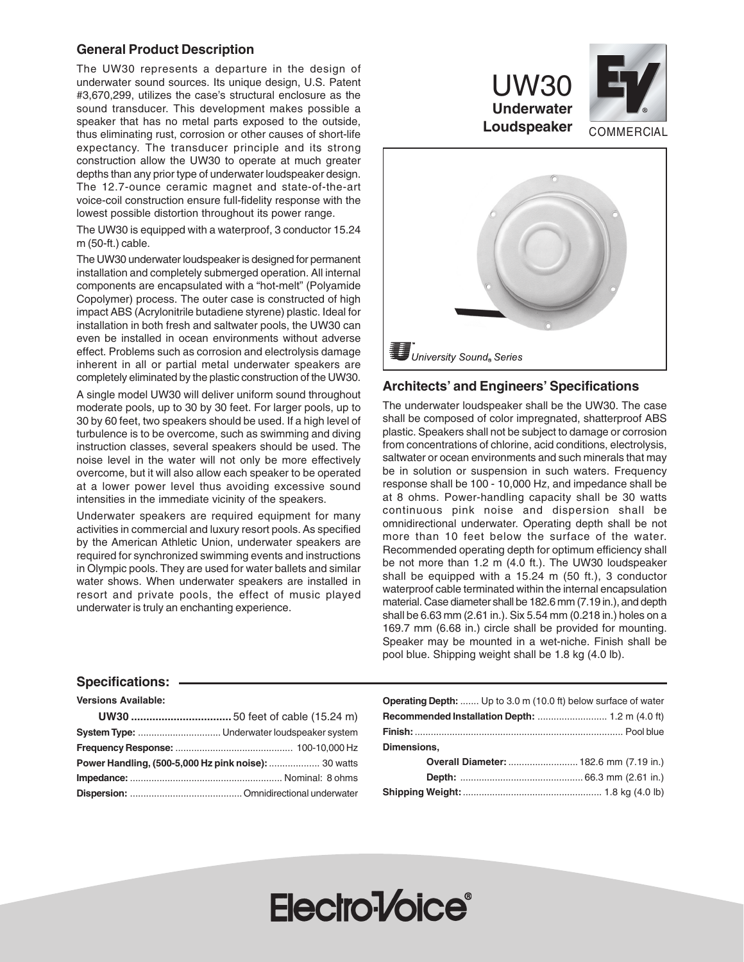# **General Product Description**

The UW30 represents a departure in the design of underwater sound sources. Its unique design, U.S. Patent #3,670,299, utilizes the case's structural enclosure as the sound transducer. This development makes possible a speaker that has no metal parts exposed to the outside, thus eliminating rust, corrosion or other causes of short-life expectancy. The transducer principle and its strong construction allow the UW30 to operate at much greater depths than any prior type of underwater loudspeaker design. The 12.7-ounce ceramic magnet and state-of-the-art voice-coil construction ensure full-fidelity response with the lowest possible distortion throughout its power range.

The UW30 is equipped with a waterproof, 3 conductor 15.24 m (50-ft.) cable.

The UW30 underwater loudspeaker is designed for permanent installation and completely submerged operation. All internal components are encapsulated with a "hot-melt" (Polyamide Copolymer) process. The outer case is constructed of high impact ABS (Acrylonitrile butadiene styrene) plastic. Ideal for installation in both fresh and saltwater pools, the UW30 can even be installed in ocean environments without adverse effect. Problems such as corrosion and electrolysis damage inherent in all or partial metal underwater speakers are completely eliminated by the plastic construction of the UW30.

A single model UW30 will deliver uniform sound throughout moderate pools, up to 30 by 30 feet. For larger pools, up to 30 by 60 feet, two speakers should be used. If a high level of turbulence is to be overcome, such as swimming and diving instruction classes, several speakers should be used. The noise level in the water will not only be more effectively overcome, but it will also allow each speaker to be operated at a lower power level thus avoiding excessive sound intensities in the immediate vicinity of the speakers.

Underwater speakers are required equipment for many activities in commercial and luxury resort pools. As specified by the American Athletic Union, underwater speakers are required for synchronized swimming events and instructions in Olympic pools. They are used for water ballets and similar water shows. When underwater speakers are installed in resort and private pools, the effect of music played underwater is truly an enchanting experience.



UW30

# **Architects' and Engineers' Specifications**

The underwater loudspeaker shall be the UW30. The case shall be composed of color impregnated, shatterproof ABS plastic. Speakers shall not be subject to damage or corrosion from concentrations of chlorine, acid conditions, electrolysis, saltwater or ocean environments and such minerals that may be in solution or suspension in such waters. Frequency response shall be 100 - 10,000 Hz, and impedance shall be at 8 ohms. Power-handling capacity shall be 30 watts continuous pink noise and dispersion shall be omnidirectional underwater. Operating depth shall be not more than 10 feet below the surface of the water. Recommended operating depth for optimum efficiency shall be not more than 1.2 m (4.0 ft.). The UW30 loudspeaker shall be equipped with a 15.24 m (50 ft.), 3 conductor waterproof cable terminated within the internal encapsulation material. Case diameter shall be 182.6 mm (7.19 in.), and depth shall be 6.63 mm (2.61 in.). Six 5.54 mm (0.218 in.) holes on a 169.7 mm (6.68 in.) circle shall be provided for mounting. Speaker may be mounted in a wet-niche. Finish shall be pool blue. Shipping weight shall be 1.8 kg (4.0 lb).

## **Specifications:**

**Versions Available:**

| Power Handling, (500-5,000 Hz pink noise):  30 watts |  |
|------------------------------------------------------|--|
|                                                      |  |
|                                                      |  |

| Operating Depth:  Up to 3.0 m (10.0 ft) below surface of water |                                              |
|----------------------------------------------------------------|----------------------------------------------|
|                                                                |                                              |
|                                                                |                                              |
| Dimensions,                                                    |                                              |
|                                                                | <b>Overall Diameter:</b> 182.6 mm (7.19 in.) |
|                                                                |                                              |
|                                                                |                                              |

# Electro-Voice<sup>®</sup>